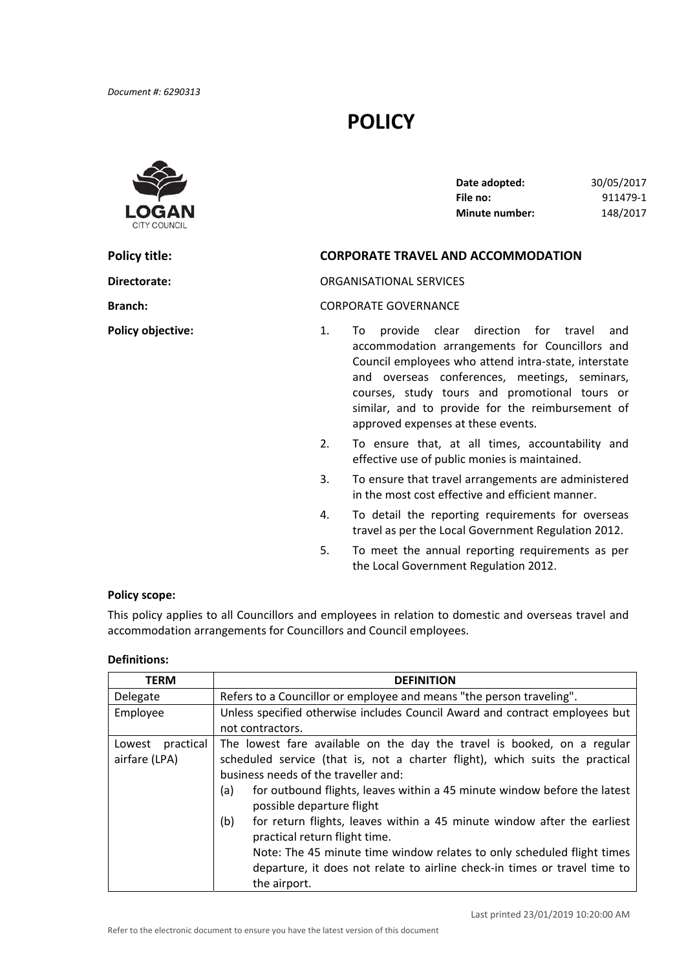# **POLICY**



| Date adopted:         | 30/05/2017 |
|-----------------------|------------|
| File no:              | 911479-1   |
| <b>Minute number:</b> | 148/2017   |

# **Policy title: CORPORATE TRAVEL AND ACCOMMODATION**

**Directorate:** ORGANISATIONAL SERVICES

**Branch:** CORPORATE GOVERNANCE

- **Policy objective:** 1. To provide clear direction for travel and accommodation arrangements for Councillors and Council employees who attend intra‐state, interstate and overseas conferences, meetings, seminars, courses, study tours and promotional tours or similar, and to provide for the reimbursement of approved expenses at these events.
	- 2. To ensure that, at all times, accountability and effective use of public monies is maintained.
	- 3. To ensure that travel arrangements are administered in the most cost effective and efficient manner.
	- 4. To detail the reporting requirements for overseas travel as per the Local Government Regulation 2012.
	- 5. To meet the annual reporting requirements as per the Local Government Regulation 2012.

#### **Policy scope:**

 This policy applies to all Councillors and employees in relation to domestic and overseas travel and accommodation arrangements for Councillors and Council employees.

#### **Definitions:**

| <b>TERM</b>         | <b>DEFINITION</b>                                                               |  |  |
|---------------------|---------------------------------------------------------------------------------|--|--|
| Delegate            | Refers to a Councillor or employee and means "the person traveling".            |  |  |
| Employee            | Unless specified otherwise includes Council Award and contract employees but    |  |  |
|                     | not contractors.                                                                |  |  |
| practical<br>Lowest | The lowest fare available on the day the travel is booked, on a regular         |  |  |
| airfare (LPA)       | scheduled service (that is, not a charter flight), which suits the practical    |  |  |
|                     | business needs of the traveller and:                                            |  |  |
|                     | for outbound flights, leaves within a 45 minute window before the latest<br>(a) |  |  |
|                     | possible departure flight                                                       |  |  |
|                     | for return flights, leaves within a 45 minute window after the earliest<br>(b)  |  |  |
|                     | practical return flight time.                                                   |  |  |
|                     | Note: The 45 minute time window relates to only scheduled flight times          |  |  |
|                     | departure, it does not relate to airline check-in times or travel time to       |  |  |
|                     | the airport.                                                                    |  |  |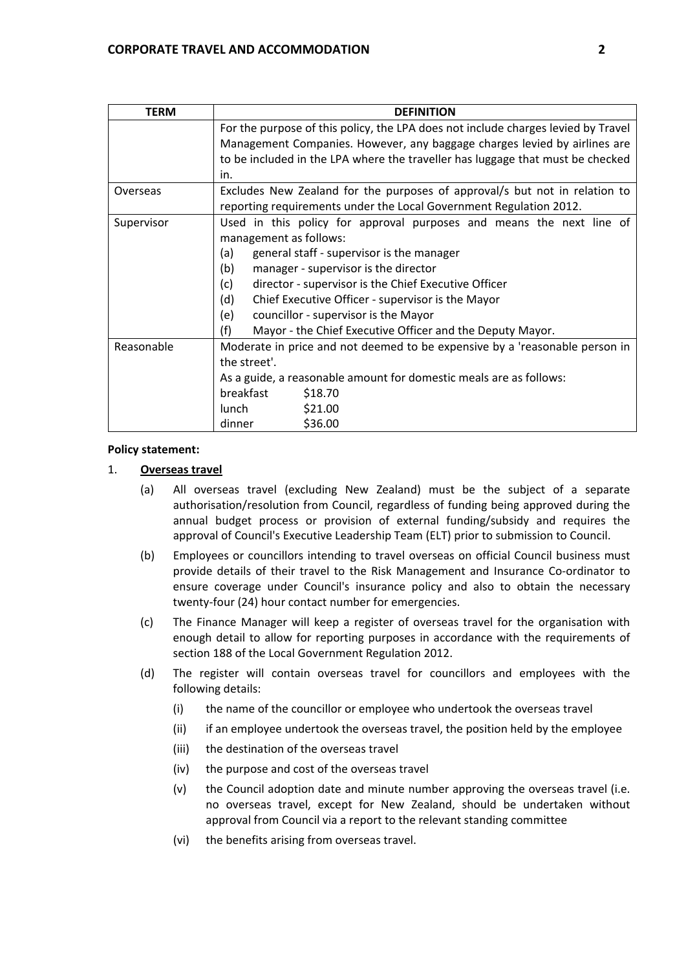| <b>TERM</b>                                                        | <b>DEFINITION</b>                                                                 |  |  |  |
|--------------------------------------------------------------------|-----------------------------------------------------------------------------------|--|--|--|
|                                                                    | For the purpose of this policy, the LPA does not include charges levied by Travel |  |  |  |
|                                                                    | Management Companies. However, any baggage charges levied by airlines are         |  |  |  |
|                                                                    | to be included in the LPA where the traveller has luggage that must be checked    |  |  |  |
|                                                                    | in.                                                                               |  |  |  |
| Overseas                                                           | Excludes New Zealand for the purposes of approval/s but not in relation to        |  |  |  |
|                                                                    | reporting requirements under the Local Government Regulation 2012.                |  |  |  |
| Supervisor                                                         | Used in this policy for approval purposes and means the next line of              |  |  |  |
|                                                                    | management as follows:                                                            |  |  |  |
|                                                                    | general staff - supervisor is the manager<br>(a)                                  |  |  |  |
|                                                                    | manager - supervisor is the director<br>(b)                                       |  |  |  |
|                                                                    | director - supervisor is the Chief Executive Officer<br>(c)                       |  |  |  |
|                                                                    | (d)<br>Chief Executive Officer - supervisor is the Mayor                          |  |  |  |
|                                                                    | (e)<br>councillor - supervisor is the Mayor                                       |  |  |  |
|                                                                    | (f)<br>Mayor - the Chief Executive Officer and the Deputy Mayor.                  |  |  |  |
| Reasonable                                                         | Moderate in price and not deemed to be expensive by a 'reasonable person in       |  |  |  |
|                                                                    | the street'.                                                                      |  |  |  |
| As a guide, a reasonable amount for domestic meals are as follows: |                                                                                   |  |  |  |
|                                                                    | breakfast<br>\$18.70                                                              |  |  |  |
|                                                                    | \$21.00<br>lunch                                                                  |  |  |  |
|                                                                    | \$36.00<br>dinner                                                                 |  |  |  |

## **Policy statement:**

## 1. **Overseas travel**

- (a) All overseas travel (excluding New Zealand) must be the subject of a separate authorisation/resolution from Council, regardless of funding being approved during the annual budget process or provision of external funding/subsidy and requires the approval of Council's Executive Leadership Team (ELT) prior to submission to Council.
- (b) Employees or councillors intending to travel overseas on official Council business must provide details of their travel to the Risk Management and Insurance Co‐ordinator to ensure coverage under Council's insurance policy and also to obtain the necessary twenty‐four (24) hour contact number for emergencies.
- (c) The Finance Manager will keep a register of overseas travel for the organisation with enough detail to allow for reporting purposes in accordance with the requirements of section 188 of the Local Government Regulation 2012.
- (d) The register will contain overseas travel for councillors and employees with the following details:
	- (i) the name of the councillor or employee who undertook the overseas travel
	- (ii) if an employee undertook the overseas travel, the position held by the employee
	- (iii) the destination of the overseas travel
	- (iv) the purpose and cost of the overseas travel
	- (v) the Council adoption date and minute number approving the overseas travel (i.e. no overseas travel, except for New Zealand, should be undertaken without approval from Council via a report to the relevant standing committee
	- (vi) the benefits arising from overseas travel.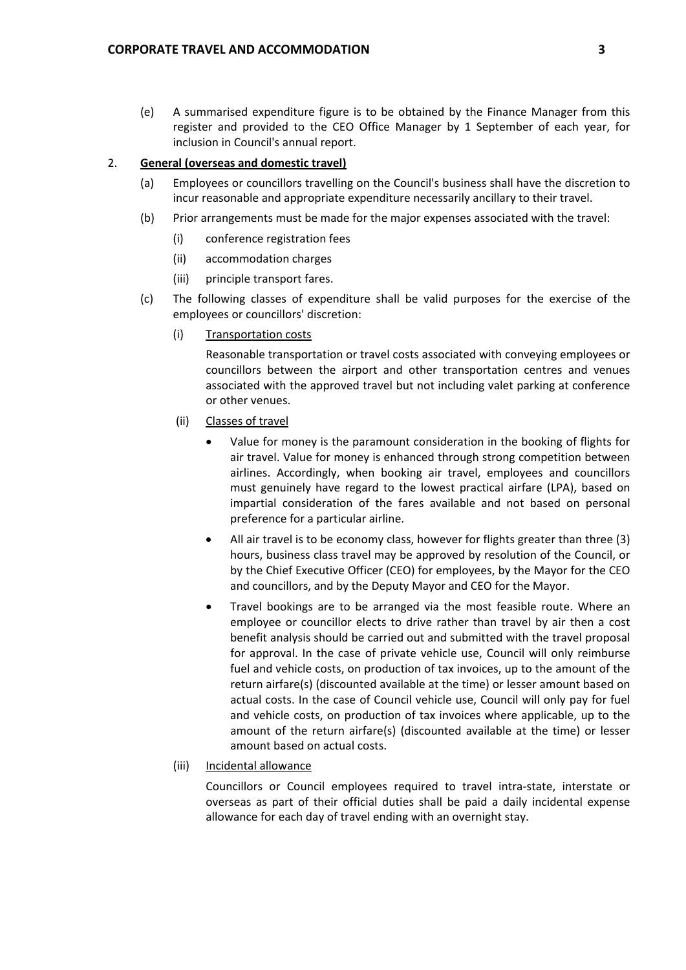(e) A summarised expenditure figure is to be obtained by the Finance Manager from this register and provided to the CEO Office Manager by 1 September of each year, for inclusion in Council's annual report.

#### 2. **General (overseas and domestic travel)**

- (a) Employees or councillors travelling on the Council's business shall have the discretion to incur reasonable and appropriate expenditure necessarily ancillary to their travel.
- (b) Prior arrangements must be made for the major expenses associated with the travel:
	- (i) conference registration fees
	- (ii) accommodation charges
	- (iii) principle transport fares.
- (c) The following classes of expenditure shall be valid purposes for the exercise of the employees or councillors' discretion:
	- (i) Transportation costs

 Reasonable transportation or travel costs associated with conveying employees or councillors between the airport and other transportation centres and venues associated with the approved travel but not including valet parking at conference or other venues.

- (ii) Classes of travel
	- Value for money is the paramount consideration in the booking of flights for air travel. Value for money is enhanced through strong competition between airlines. Accordingly, when booking air travel, employees and councillors must genuinely have regard to the lowest practical airfare (LPA), based on impartial consideration of the fares available and not based on personal preference for a particular airline.
	- All air travel is to be economy class, however for flights greater than three (3) hours, business class travel may be approved by resolution of the Council, or by the Chief Executive Officer (CEO) for employees, by the Mayor for the CEO and councillors, and by the Deputy Mayor and CEO for the Mayor.
	- Travel bookings are to be arranged via the most feasible route. Where an employee or councillor elects to drive rather than travel by air then a cost benefit analysis should be carried out and submitted with the travel proposal for approval. In the case of private vehicle use, Council will only reimburse fuel and vehicle costs, on production of tax invoices, up to the amount of the return airfare(s) (discounted available at the time) or lesser amount based on actual costs. In the case of Council vehicle use, Council will only pay for fuel and vehicle costs, on production of tax invoices where applicable, up to the amount of the return airfare(s) (discounted available at the time) or lesser amount based on actual costs.

# (iii) Incidental allowance

 Councillors or Council employees required to travel intra‐state, interstate or overseas as part of their official duties shall be paid a daily incidental expense allowance for each day of travel ending with an overnight stay.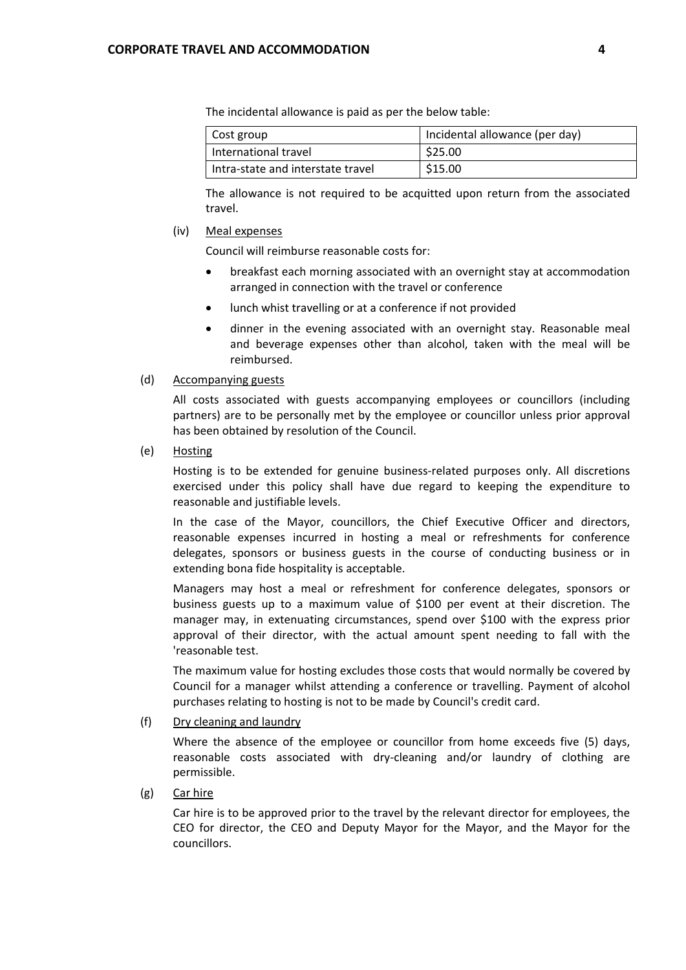The incidental allowance is paid as per the below table:

| Cost group                        | Incidental allowance (per day) |
|-----------------------------------|--------------------------------|
| International travel              | \$25.00                        |
| Intra-state and interstate travel | \$15.00                        |

 The allowance is not required to be acquitted upon return from the associated travel.

#### (iv) Meal expenses

Council will reimburse reasonable costs for:

- breakfast each morning associated with an overnight stay at accommodation arranged in connection with the travel or conference
- lunch whist travelling or at a conference if not provided
- dinner in the evening associated with an overnight stay. Reasonable meal and beverage expenses other than alcohol, taken with the meal will be reimbursed.

#### (d) Accompanying guests

All costs associated with guests accompanying employees or councillors (including partners) are to be personally met by the employee or councillor unless prior approval has been obtained by resolution of the Council.

(e) Hosting

Hosting is to be extended for genuine business-related purposes only. All discretions exercised under this policy shall have due regard to keeping the expenditure to reasonable and justifiable levels.

In the case of the Mayor, councillors, the Chief Executive Officer and directors, reasonable expenses incurred in hosting a meal or refreshments for conference delegates, sponsors or business guests in the course of conducting business or in extending bona fide hospitality is acceptable.

Managers may host a meal or refreshment for conference delegates, sponsors or business guests up to a maximum value of \$100 per event at their discretion. The manager may, in extenuating circumstances, spend over \$100 with the express prior approval of their director, with the actual amount spent needing to fall with the 'reasonable test.

The maximum value for hosting excludes those costs that would normally be covered by Council for a manager whilst attending a conference or travelling. Payment of alcohol purchases relating to hosting is not to be made by Council's credit card.

(f) Dry cleaning and laundry

Where the absence of the employee or councillor from home exceeds five (5) days, reasonable costs associated with dry‐cleaning and/or laundry of clothing are permissible.

(g) Car hire

Car hire is to be approved prior to the travel by the relevant director for employees, the CEO for director, the CEO and Deputy Mayor for the Mayor, and the Mayor for the councillors.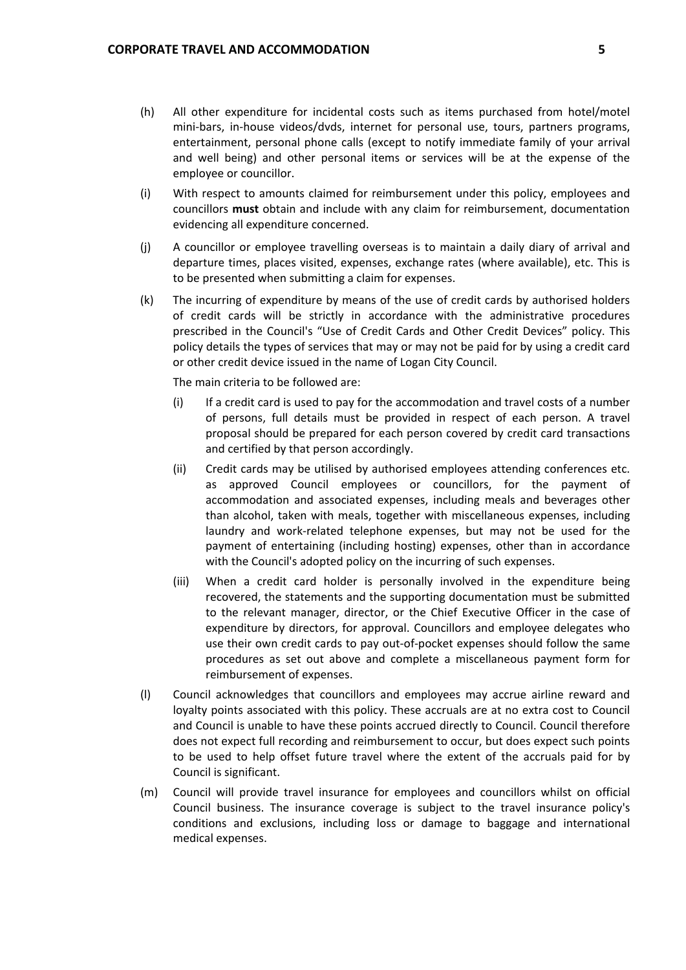- (h) All other expenditure for incidental costs such as items purchased from hotel/motel mini‐bars, in‐house videos/dvds, internet for personal use, tours, partners programs, entertainment, personal phone calls (except to notify immediate family of your arrival and well being) and other personal items or services will be at the expense of the employee or councillor.
- (i) With respect to amounts claimed for reimbursement under this policy, employees and councillors **must** obtain and include with any claim for reimbursement, documentation evidencing all expenditure concerned.
- (j) A councillor or employee travelling overseas is to maintain a daily diary of arrival and departure times, places visited, expenses, exchange rates (where available), etc. This is to be presented when submitting a claim for expenses.
- (k) The incurring of expenditure by means of the use of credit cards by authorised holders of credit cards will be strictly in accordance with the administrative procedures prescribed in the Council's "Use of Credit Cards and Other Credit Devices" policy. This policy details the types of services that may or may not be paid for by using a credit card or other credit device issued in the name of Logan City Council.

The main criteria to be followed are:

- (i) If a credit card is used to pay for the accommodation and travel costs of a number of persons, full details must be provided in respect of each person. A travel proposal should be prepared for each person covered by credit card transactions and certified by that person accordingly.
- (ii) Credit cards may be utilised by authorised employees attending conferences etc. as approved Council employees or councillors, for the payment of accommodation and associated expenses, including meals and beverages other than alcohol, taken with meals, together with miscellaneous expenses, including laundry and work‐related telephone expenses, but may not be used for the payment of entertaining (including hosting) expenses, other than in accordance with the Council's adopted policy on the incurring of such expenses.
- (iii) When a credit card holder is personally involved in the expenditure being recovered, the statements and the supporting documentation must be submitted to the relevant manager, director, or the Chief Executive Officer in the case of expenditure by directors, for approval. Councillors and employee delegates who use their own credit cards to pay out‐of‐pocket expenses should follow the same procedures as set out above and complete a miscellaneous payment form for reimbursement of expenses.
- (l) Council acknowledges that councillors and employees may accrue airline reward and loyalty points associated with this policy. These accruals are at no extra cost to Council and Council is unable to have these points accrued directly to Council. Council therefore does not expect full recording and reimbursement to occur, but does expect such points to be used to help offset future travel where the extent of the accruals paid for by Council is significant.
- (m) Council will provide travel insurance for employees and councillors whilst on official conditions and exclusions, including loss or damage to baggage and international medical expenses.Council business. The insurance coverage is subject to the travel insurance policy's